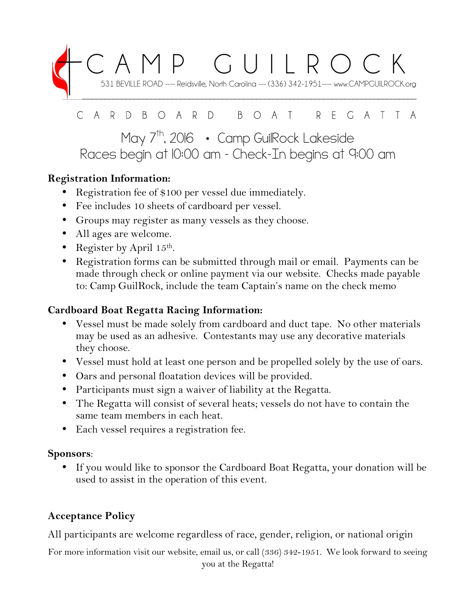

#### D B O A R D B O A T R E G  $\subset$ A R A T T

# May 7<sup>th</sup>, 2016 \* Camp GuilRock Lakeside Races begin at 10:00 am – Check-In begins at 9:00 am

## **Registration Information:**

- Registration fee of \$100 per vessel due immediately.
- Fee includes 10 sheets of cardboard per vessel.
- Groups may register as many vessels as they choose.
- All ages are welcome.
- Register by April  $15^{\text{th}}$ .
- Registration forms can be submitted through mail or email. Payments can be made through check or online payment via our website. Checks made payable to: Camp GuilRock, include the team Captain's name on the check memo

### **Cardboard Boat Regatta Racing Information:**

- Vessel must be made solely from cardboard and duct tape. No other materials may be used as an adhesive. Contestants may use any decorative materials they choose.
- Vessel must hold at least one person and be propelled solely by the use of oars.
- Oars and personal floatation devices will be provided.
- Participants must sign a waiver of liability at the Regatta.
- The Regatta will consist of several heats; vessels do not have to contain the same team members in each heat.
- Each vessel requires a registration fee.

### **Sponsors**:

• If you would like to sponsor the Cardboard Boat Regatta, your donation will be used to assist in the operation of this event.

# **Acceptance Policy**

All participants are welcome regardless of race, gender, religion, or national origin

For more information visit our website, email us, or call (336) 342-1951. We look forward to seeing you at the Regatta!